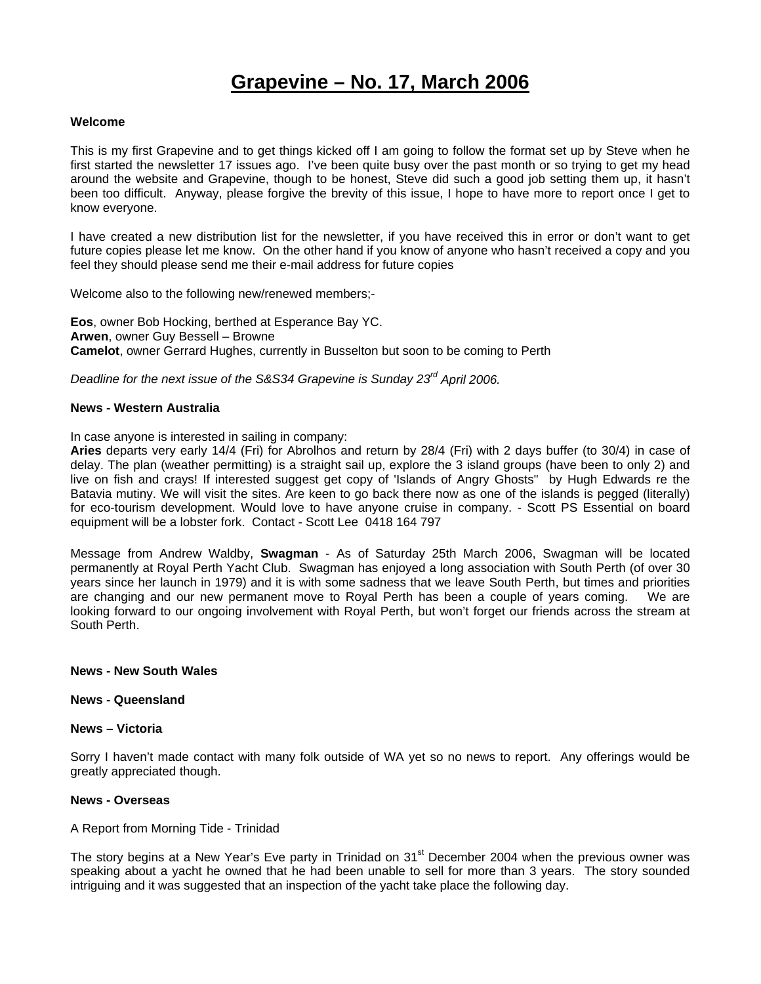# **Grapevine – No. 17, March 2006**

#### **Welcome**

This is my first Grapevine and to get things kicked off I am going to follow the format set up by Steve when he first started the newsletter 17 issues ago. I've been quite busy over the past month or so trying to get my head around the website and Grapevine, though to be honest, Steve did such a good job setting them up, it hasn't been too difficult. Anyway, please forgive the brevity of this issue, I hope to have more to report once I get to know everyone.

I have created a new distribution list for the newsletter, if you have received this in error or don't want to get future copies please let me know. On the other hand if you know of anyone who hasn't received a copy and you feel they should please send me their e-mail address for future copies

Welcome also to the following new/renewed members;-

**Eos**, owner Bob Hocking, berthed at Esperance Bay YC. **Arwen**, owner Guy Bessell – Browne **Camelot**, owner Gerrard Hughes, currently in Busselton but soon to be coming to Perth

*Deadline for the next issue of the S&S34 Grapevine is Sunday 23rd April 2006.*

#### **News - Western Australia**

In case anyone is interested in sailing in company:

**Aries** departs very early 14/4 (Fri) for Abrolhos and return by 28/4 (Fri) with 2 days buffer (to 30/4) in case of delay. The plan (weather permitting) is a straight sail up, explore the 3 island groups (have been to only 2) and live on fish and crays! If interested suggest get copy of 'Islands of Angry Ghosts" by Hugh Edwards re the Batavia mutiny. We will visit the sites. Are keen to go back there now as one of the islands is pegged (literally) for eco-tourism development. Would love to have anyone cruise in company. - Scott PS Essential on board equipment will be a lobster fork. Contact - Scott Lee 0418 164 797

Message from Andrew Waldby, **Swagman** - As of Saturday 25th March 2006, Swagman will be located permanently at Royal Perth Yacht Club. Swagman has enjoyed a long association with South Perth (of over 30 years since her launch in 1979) and it is with some sadness that we leave South Perth, but times and priorities are changing and our new permanent move to Royal Perth has been a couple of years coming. We are looking forward to our ongoing involvement with Royal Perth, but won't forget our friends across the stream at South Perth.

### **News - New South Wales**

#### **News - Queensland**

#### **News – Victoria**

Sorry I haven't made contact with many folk outside of WA yet so no news to report. Any offerings would be greatly appreciated though.

### **News - Overseas**

### A Report from Morning Tide - Trinidad

The story begins at a New Year's Eve party in Trinidad on  $31<sup>st</sup>$  December 2004 when the previous owner was speaking about a yacht he owned that he had been unable to sell for more than 3 years. The story sounded intriguing and it was suggested that an inspection of the yacht take place the following day.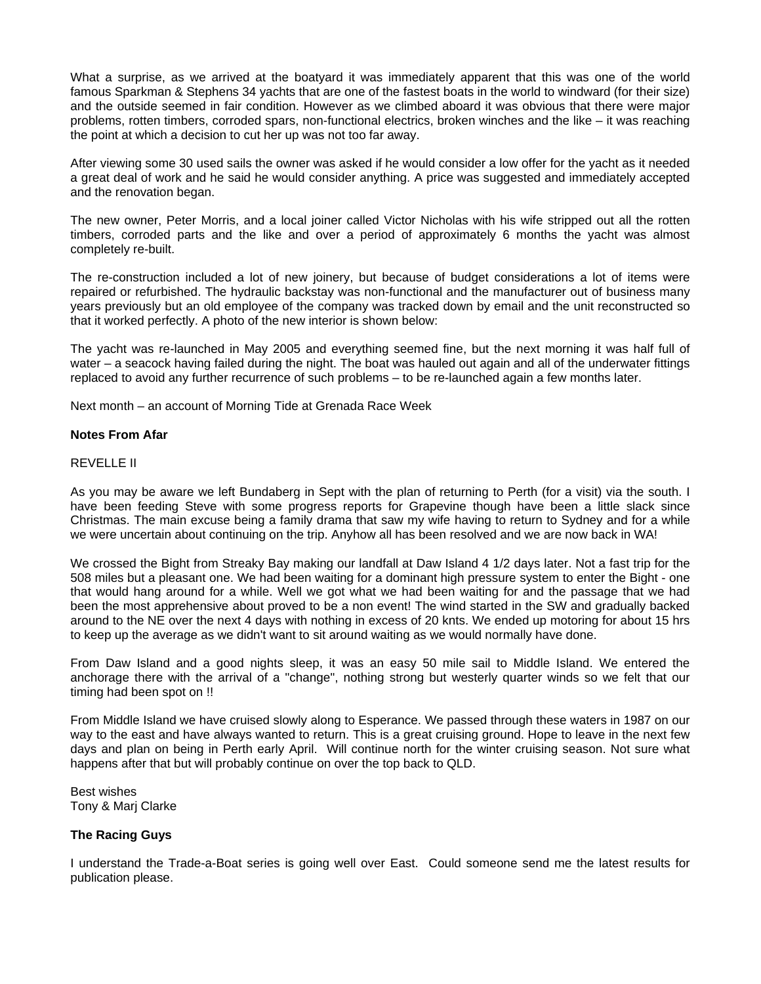What a surprise, as we arrived at the boatyard it was immediately apparent that this was one of the world famous Sparkman & Stephens 34 yachts that are one of the fastest boats in the world to windward (for their size) and the outside seemed in fair condition. However as we climbed aboard it was obvious that there were major problems, rotten timbers, corroded spars, non-functional electrics, broken winches and the like – it was reaching the point at which a decision to cut her up was not too far away.

After viewing some 30 used sails the owner was asked if he would consider a low offer for the yacht as it needed a great deal of work and he said he would consider anything. A price was suggested and immediately accepted and the renovation began.

The new owner, Peter Morris, and a local joiner called Victor Nicholas with his wife stripped out all the rotten timbers, corroded parts and the like and over a period of approximately 6 months the yacht was almost completely re-built.

The re-construction included a lot of new joinery, but because of budget considerations a lot of items were repaired or refurbished. The hydraulic backstay was non-functional and the manufacturer out of business many years previously but an old employee of the company was tracked down by email and the unit reconstructed so that it worked perfectly. A photo of the new interior is shown below:

The yacht was re-launched in May 2005 and everything seemed fine, but the next morning it was half full of water – a seacock having failed during the night. The boat was hauled out again and all of the underwater fittings replaced to avoid any further recurrence of such problems – to be re-launched again a few months later.

Next month – an account of Morning Tide at Grenada Race Week

### **Notes From Afar**

### REVELLE II

As you may be aware we left Bundaberg in Sept with the plan of returning to Perth (for a visit) via the south. I have been feeding Steve with some progress reports for Grapevine though have been a little slack since Christmas. The main excuse being a family drama that saw my wife having to return to Sydney and for a while we were uncertain about continuing on the trip. Anyhow all has been resolved and we are now back in WA!

We crossed the Bight from Streaky Bay making our landfall at Daw Island 4 1/2 days later. Not a fast trip for the 508 miles but a pleasant one. We had been waiting for a dominant high pressure system to enter the Bight - one that would hang around for a while. Well we got what we had been waiting for and the passage that we had been the most apprehensive about proved to be a non event! The wind started in the SW and gradually backed around to the NE over the next 4 days with nothing in excess of 20 knts. We ended up motoring for about 15 hrs to keep up the average as we didn't want to sit around waiting as we would normally have done.

From Daw Island and a good nights sleep, it was an easy 50 mile sail to Middle Island. We entered the anchorage there with the arrival of a "change", nothing strong but westerly quarter winds so we felt that our timing had been spot on !!

From Middle Island we have cruised slowly along to Esperance. We passed through these waters in 1987 on our way to the east and have always wanted to return. This is a great cruising ground. Hope to leave in the next few days and plan on being in Perth early April. Will continue north for the winter cruising season. Not sure what happens after that but will probably continue on over the top back to QLD.

Best wishes Tony & Marj Clarke

### **The Racing Guys**

I understand the Trade-a-Boat series is going well over East. Could someone send me the latest results for publication please.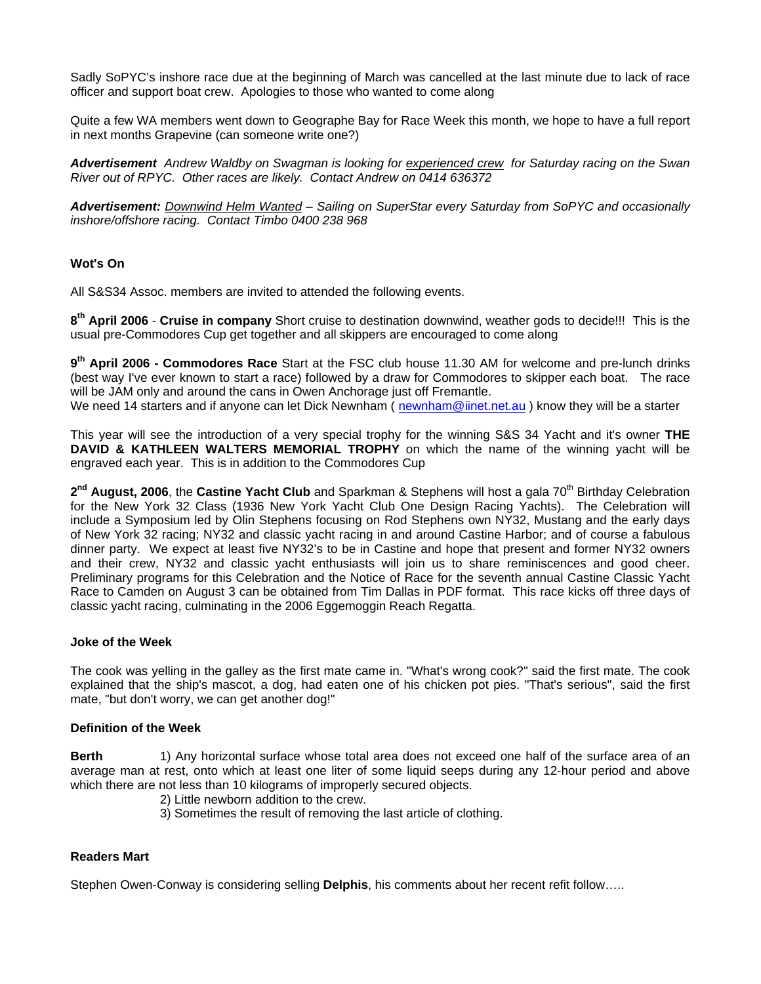Sadly SoPYC's inshore race due at the beginning of March was cancelled at the last minute due to lack of race officer and support boat crew. Apologies to those who wanted to come along

Quite a few WA members went down to Geographe Bay for Race Week this month, we hope to have a full report in next months Grapevine (can someone write one?)

*Advertisement Andrew Waldby on Swagman is looking for experienced crew for Saturday racing on the Swan River out of RPYC. Other races are likely. Contact Andrew on 0414 636372* 

*Advertisement: Downwind Helm Wanted – Sailing on SuperStar every Saturday from SoPYC and occasionally inshore/offshore racing. Contact Timbo 0400 238 968* 

## **Wot's On**

All S&S34 Assoc. members are invited to attended the following events.

**8th April 2006** - **Cruise in company** Short cruise to destination downwind, weather gods to decide!!! This is the usual pre-Commodores Cup get together and all skippers are encouraged to come along

**9th April 2006 - Commodores Race** Start at the FSC club house 11.30 AM for welcome and pre-lunch drinks (best way I've ever known to start a race) followed by a draw for Commodores to skipper each boat. The race will be JAM only and around the cans in Owen Anchorage just off Fremantle.

We need 14 starters and if anyone can let Dick Newnham (newnham@iinet.net.au) know they will be a starter

This year will see the introduction of a very special trophy for the winning S&S 34 Yacht and it's owner **THE DAVID & KATHLEEN WALTERS MEMORIAL TROPHY** on which the name of the winning yacht will be engraved each year. This is in addition to the Commodores Cup

2<sup>nd</sup> August, 2006, the Castine Yacht Club and Sparkman & Stephens will host a gala 70<sup>th</sup> Birthday Celebration for the New York 32 Class (1936 New York Yacht Club One Design Racing Yachts). The Celebration will include a Symposium led by Olin Stephens focusing on Rod Stephens own NY32, Mustang and the early days of New York 32 racing; NY32 and classic yacht racing in and around Castine Harbor; and of course a fabulous dinner party. We expect at least five NY32's to be in Castine and hope that present and former NY32 owners and their crew, NY32 and classic yacht enthusiasts will join us to share reminiscences and good cheer. Preliminary programs for this Celebration and the Notice of Race for the seventh annual Castine Classic Yacht Race to Camden on August 3 can be obtained from Tim Dallas in PDF format. This race kicks off three days of classic yacht racing, culminating in the 2006 Eggemoggin Reach Regatta.

### **Joke of the Week**

The cook was yelling in the galley as the first mate came in. "What's wrong cook?" said the first mate. The cook explained that the ship's mascot, a dog, had eaten one of his chicken pot pies. "That's serious", said the first mate, "but don't worry, we can get another dog!"

### **Definition of the Week**

**Berth** 1) Any horizontal surface whose total area does not exceed one half of the surface area of an average man at rest, onto which at least one liter of some liquid seeps during any 12-hour period and above which there are not less than 10 kilograms of improperly secured objects.

- 2) Little newborn addition to the crew.
- 3) Sometimes the result of removing the last article of clothing.

### **Readers Mart**

Stephen Owen-Conway is considering selling **Delphis**, his comments about her recent refit follow…..